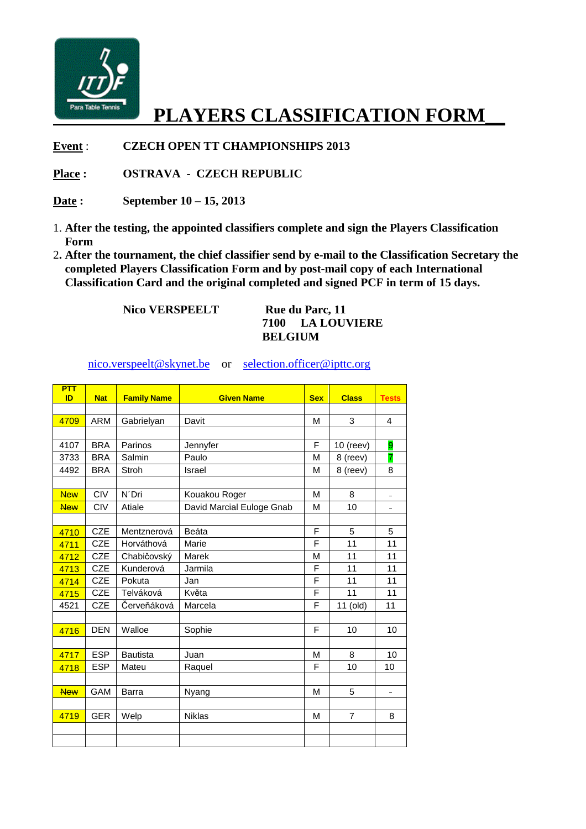

## **PLAYERS CLASSIFICATION FORM\_\_**

**Event** : **CZECH OPEN TT CHAMPIONSHIPS 2013** 

**Place : OSTRAVA - CZECH REPUBLIC** 

**Date : September 10 – 15, 2013** 

- 1. **After the testing, the appointed classifiers complete and sign the Players Classification Form**
- 2**. After the tournament, the chief classifier send by e-mail to the Classification Secretary the completed Players Classification Form and by post-mail copy of each International Classification Card and the original completed and signed PCF in term of 15 days.**

**Nico VERSPEELT** Rue du Parc, 11

**7100 LA LOUVIERE BELGIUM** 

nico.verspeelt@skynet.be or selection.officer@ipttc.org

| PTT<br>ID  | <b>Nat</b> | <b>Family Name</b> | <b>Given Name</b>         | <b>Sex</b> | <b>Class</b>   | <b>Tests</b>   |
|------------|------------|--------------------|---------------------------|------------|----------------|----------------|
|            |            |                    |                           |            |                |                |
| 4709       | <b>ARM</b> | Gabrielyan         | Davit                     | M          | 3              | 4              |
|            |            |                    |                           |            |                |                |
| 4107       | <b>BRA</b> | Parinos            | Jennyfer                  | F          | $10$ (reev)    | 9              |
| 3733       | <b>BRA</b> | Salmin             | Paulo                     | M          | 8 (reev)       | 7              |
| 4492       | <b>BRA</b> | Stroh              | <b>Israel</b>             | M          | 8 (reev)       | 8              |
|            |            |                    |                           |            |                |                |
| <b>New</b> | <b>CIV</b> | N'Dri              | Kouakou Roger             | M          | 8              | $\equiv$       |
| <b>New</b> | <b>CIV</b> | Atiale             | David Marcial Euloge Gnab | M          | 10             |                |
|            |            |                    |                           |            |                |                |
| 4710       | <b>CZE</b> | Mentznerová        | Beáta                     | F          | 5              | 5              |
| 4711       | <b>CZE</b> | Horváthová         | Marie                     | F          | 11             | 11             |
| 4712       | <b>CZE</b> | Chabičovský        | Marek                     | M          | 11             | 11             |
| 4713       | <b>CZE</b> | Kunderová          | Jarmila                   | F          | 11             | 11             |
| 4714       | <b>CZE</b> | Pokuta             | Jan                       | F          | 11             | 11             |
| 4715       | <b>CZE</b> | Telváková          | Květa                     | F          | 11             | 11             |
| 4521       | <b>CZE</b> | Červeňáková        | Marcela                   | F          | 11 (old)       | 11             |
|            |            |                    |                           |            |                |                |
| 4716       | <b>DEN</b> | Walloe             | Sophie                    | F          | 10             | 10             |
|            |            |                    |                           |            |                |                |
| 4717       | <b>ESP</b> | <b>Bautista</b>    | Juan                      | M          | 8              | 10             |
| 4718       | <b>ESP</b> | Mateu              | Raquel                    | F          | 10             | 10             |
|            |            |                    |                           |            |                |                |
| <b>New</b> | GAM        | <b>Barra</b>       | Nyang                     | M          | 5              | $\blacksquare$ |
|            |            |                    |                           |            |                |                |
| 4719       | <b>GER</b> | Welp               | <b>Niklas</b>             | M          | $\overline{7}$ | 8              |
|            |            |                    |                           |            |                |                |
|            |            |                    |                           |            |                |                |